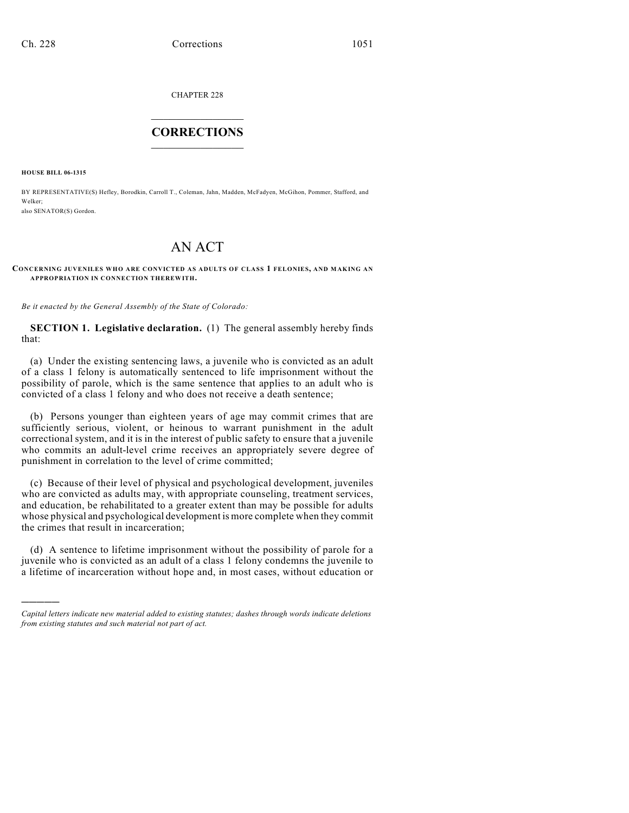CHAPTER 228  $\overline{\phantom{a}}$  . The set of the set of the set of the set of the set of the set of the set of the set of the set of the set of the set of the set of the set of the set of the set of the set of the set of the set of the set o

## **CORRECTIONS**  $\frac{1}{2}$  ,  $\frac{1}{2}$  ,  $\frac{1}{2}$  ,  $\frac{1}{2}$  ,  $\frac{1}{2}$  ,  $\frac{1}{2}$

**HOUSE BILL 06-1315**

)))))

BY REPRESENTATIVE(S) Hefley, Borodkin, Carroll T., Coleman, Jahn, Madden, McFadyen, McGihon, Pommer, Stafford, and Welker; also SENATOR(S) Gordon.

## AN ACT

## **CONCERNING JUVENILES WHO ARE CONVICTED AS ADULTS OF CLASS 1 FELONIES, AND MAKING AN APPROPRIATION IN CONNECTION THEREWITH.**

*Be it enacted by the General Assembly of the State of Colorado:*

**SECTION 1. Legislative declaration.** (1) The general assembly hereby finds that:

(a) Under the existing sentencing laws, a juvenile who is convicted as an adult of a class 1 felony is automatically sentenced to life imprisonment without the possibility of parole, which is the same sentence that applies to an adult who is convicted of a class 1 felony and who does not receive a death sentence;

(b) Persons younger than eighteen years of age may commit crimes that are sufficiently serious, violent, or heinous to warrant punishment in the adult correctional system, and it is in the interest of public safety to ensure that a juvenile who commits an adult-level crime receives an appropriately severe degree of punishment in correlation to the level of crime committed;

(c) Because of their level of physical and psychological development, juveniles who are convicted as adults may, with appropriate counseling, treatment services, and education, be rehabilitated to a greater extent than may be possible for adults whose physical and psychological development is more complete when they commit the crimes that result in incarceration;

(d) A sentence to lifetime imprisonment without the possibility of parole for a juvenile who is convicted as an adult of a class 1 felony condemns the juvenile to a lifetime of incarceration without hope and, in most cases, without education or

*Capital letters indicate new material added to existing statutes; dashes through words indicate deletions from existing statutes and such material not part of act.*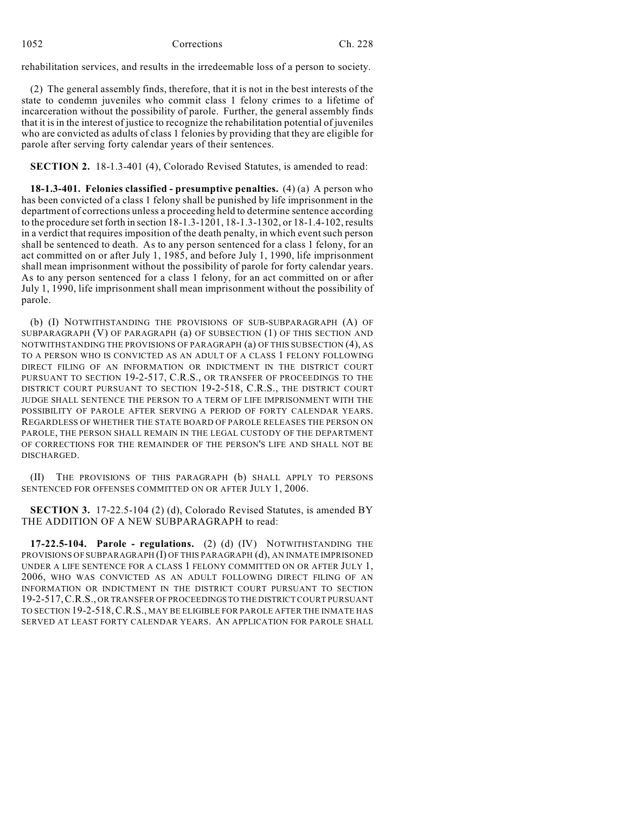rehabilitation services, and results in the irredeemable loss of a person to society.

(2) The general assembly finds, therefore, that it is not in the best interests of the state to condemn juveniles who commit class 1 felony crimes to a lifetime of incarceration without the possibility of parole. Further, the general assembly finds that it is in the interest of justice to recognize the rehabilitation potential of juveniles who are convicted as adults of class 1 felonies by providing that they are eligible for parole after serving forty calendar years of their sentences.

**SECTION 2.** 18-1.3-401 (4), Colorado Revised Statutes, is amended to read:

**18-1.3-401. Felonies classified - presumptive penalties.** (4) (a) A person who has been convicted of a class 1 felony shall be punished by life imprisonment in the department of corrections unless a proceeding held to determine sentence according to the procedure set forth in section 18-1.3-1201, 18-1.3-1302, or 18-1.4-102, results in a verdict that requires imposition of the death penalty, in which event such person shall be sentenced to death. As to any person sentenced for a class 1 felony, for an act committed on or after July 1, 1985, and before July 1, 1990, life imprisonment shall mean imprisonment without the possibility of parole for forty calendar years. As to any person sentenced for a class 1 felony, for an act committed on or after July 1, 1990, life imprisonment shall mean imprisonment without the possibility of parole.

(b) (I) NOTWITHSTANDING THE PROVISIONS OF SUB-SUBPARAGRAPH (A) OF SUBPARAGRAPH (V) OF PARAGRAPH (a) OF SUBSECTION (1) OF THIS SECTION AND NOTWITHSTANDING THE PROVISIONS OF PARAGRAPH (a) OF THIS SUBSECTION (4), AS TO A PERSON WHO IS CONVICTED AS AN ADULT OF A CLASS 1 FELONY FOLLOWING DIRECT FILING OF AN INFORMATION OR INDICTMENT IN THE DISTRICT COURT PURSUANT TO SECTION 19-2-517, C.R.S., OR TRANSFER OF PROCEEDINGS TO THE DISTRICT COURT PURSUANT TO SECTION 19-2-518, C.R.S., THE DISTRICT COURT JUDGE SHALL SENTENCE THE PERSON TO A TERM OF LIFE IMPRISONMENT WITH THE POSSIBILITY OF PAROLE AFTER SERVING A PERIOD OF FORTY CALENDAR YEARS. REGARDLESS OF WHETHER THE STATE BOARD OF PAROLE RELEASES THE PERSON ON PAROLE, THE PERSON SHALL REMAIN IN THE LEGAL CUSTODY OF THE DEPARTMENT OF CORRECTIONS FOR THE REMAINDER OF THE PERSON'S LIFE AND SHALL NOT BE DISCHARGED.

(II) THE PROVISIONS OF THIS PARAGRAPH (b) SHALL APPLY TO PERSONS SENTENCED FOR OFFENSES COMMITTED ON OR AFTER JULY 1, 2006.

**SECTION 3.** 17-22.5-104 (2) (d), Colorado Revised Statutes, is amended BY THE ADDITION OF A NEW SUBPARAGRAPH to read:

**17-22.5-104. Parole - regulations.** (2) (d) (IV) NOTWITHSTANDING THE PROVISIONS OF SUBPARAGRAPH (I) OF THIS PARAGRAPH (d), AN INMATE IMPRISONED UNDER A LIFE SENTENCE FOR A CLASS 1 FELONY COMMITTED ON OR AFTER JULY 1, 2006, WHO WAS CONVICTED AS AN ADULT FOLLOWING DIRECT FILING OF AN INFORMATION OR INDICTMENT IN THE DISTRICT COURT PURSUANT TO SECTION 19-2-517,C.R.S., OR TRANSFER OF PROCEEDINGS TO THE DISTRICT COURT PURSUANT TO SECTION 19-2-518,C.R.S., MAY BE ELIGIBLE FOR PAROLE AFTER THE INMATE HAS SERVED AT LEAST FORTY CALENDAR YEARS. AN APPLICATION FOR PAROLE SHALL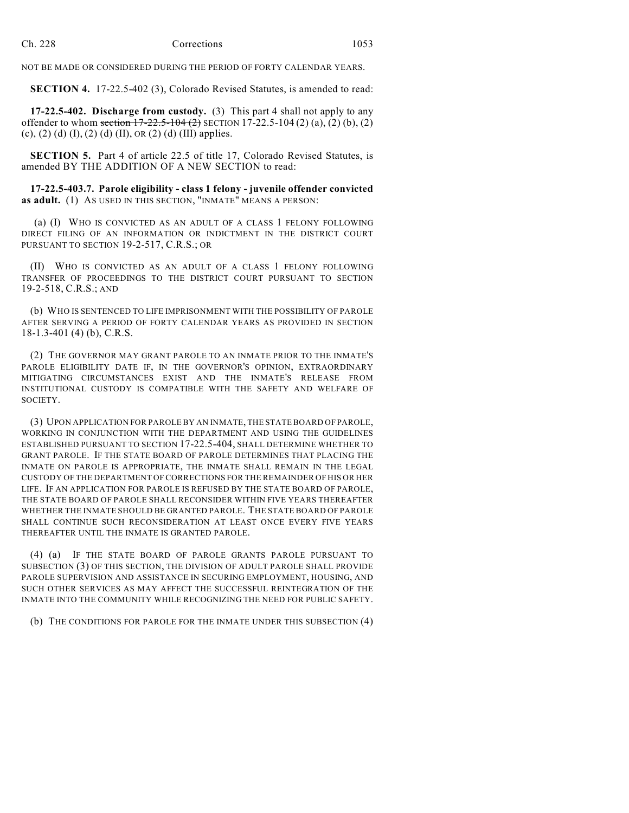NOT BE MADE OR CONSIDERED DURING THE PERIOD OF FORTY CALENDAR YEARS.

**SECTION 4.** 17-22.5-402 (3), Colorado Revised Statutes, is amended to read:

**17-22.5-402. Discharge from custody.** (3) This part 4 shall not apply to any offender to whom section  $17-22.5-104(2)$  SECTION 17-22.5-104 (2) (a), (2) (b), (2) (c), (2) (d) (I), (2) (d) (II), OR (2) (d) (III) applies.

**SECTION 5.** Part 4 of article 22.5 of title 17, Colorado Revised Statutes, is amended BY THE ADDITION OF A NEW SECTION to read:

**17-22.5-403.7. Parole eligibility - class 1 felony - juvenile offender convicted as adult.** (1) AS USED IN THIS SECTION, "INMATE" MEANS A PERSON:

 (a) (I) WHO IS CONVICTED AS AN ADULT OF A CLASS 1 FELONY FOLLOWING DIRECT FILING OF AN INFORMATION OR INDICTMENT IN THE DISTRICT COURT PURSUANT TO SECTION 19-2-517, C.R.S.; OR

(II) WHO IS CONVICTED AS AN ADULT OF A CLASS 1 FELONY FOLLOWING TRANSFER OF PROCEEDINGS TO THE DISTRICT COURT PURSUANT TO SECTION 19-2-518, C.R.S.; AND

(b) WHO IS SENTENCED TO LIFE IMPRISONMENT WITH THE POSSIBILITY OF PAROLE AFTER SERVING A PERIOD OF FORTY CALENDAR YEARS AS PROVIDED IN SECTION 18-1.3-401 (4) (b), C.R.S.

(2) THE GOVERNOR MAY GRANT PAROLE TO AN INMATE PRIOR TO THE INMATE'S PAROLE ELIGIBILITY DATE IF, IN THE GOVERNOR'S OPINION, EXTRAORDINARY MITIGATING CIRCUMSTANCES EXIST AND THE INMATE'S RELEASE FROM INSTITUTIONAL CUSTODY IS COMPATIBLE WITH THE SAFETY AND WELFARE OF SOCIETY.

(3) UPON APPLICATION FOR PAROLE BY AN INMATE, THE STATE BOARD OF PAROLE, WORKING IN CONJUNCTION WITH THE DEPARTMENT AND USING THE GUIDELINES ESTABLISHED PURSUANT TO SECTION 17-22.5-404, SHALL DETERMINE WHETHER TO GRANT PAROLE. IF THE STATE BOARD OF PAROLE DETERMINES THAT PLACING THE INMATE ON PAROLE IS APPROPRIATE, THE INMATE SHALL REMAIN IN THE LEGAL CUSTODY OF THE DEPARTMENT OF CORRECTIONS FOR THE REMAINDER OF HIS OR HER LIFE. IF AN APPLICATION FOR PAROLE IS REFUSED BY THE STATE BOARD OF PAROLE, THE STATE BOARD OF PAROLE SHALL RECONSIDER WITHIN FIVE YEARS THEREAFTER WHETHER THE INMATE SHOULD BE GRANTED PAROLE. THE STATE BOARD OF PAROLE SHALL CONTINUE SUCH RECONSIDERATION AT LEAST ONCE EVERY FIVE YEARS THEREAFTER UNTIL THE INMATE IS GRANTED PAROLE.

(4) (a) IF THE STATE BOARD OF PAROLE GRANTS PAROLE PURSUANT TO SUBSECTION (3) OF THIS SECTION, THE DIVISION OF ADULT PAROLE SHALL PROVIDE PAROLE SUPERVISION AND ASSISTANCE IN SECURING EMPLOYMENT, HOUSING, AND SUCH OTHER SERVICES AS MAY AFFECT THE SUCCESSFUL REINTEGRATION OF THE INMATE INTO THE COMMUNITY WHILE RECOGNIZING THE NEED FOR PUBLIC SAFETY.

(b) THE CONDITIONS FOR PAROLE FOR THE INMATE UNDER THIS SUBSECTION (4)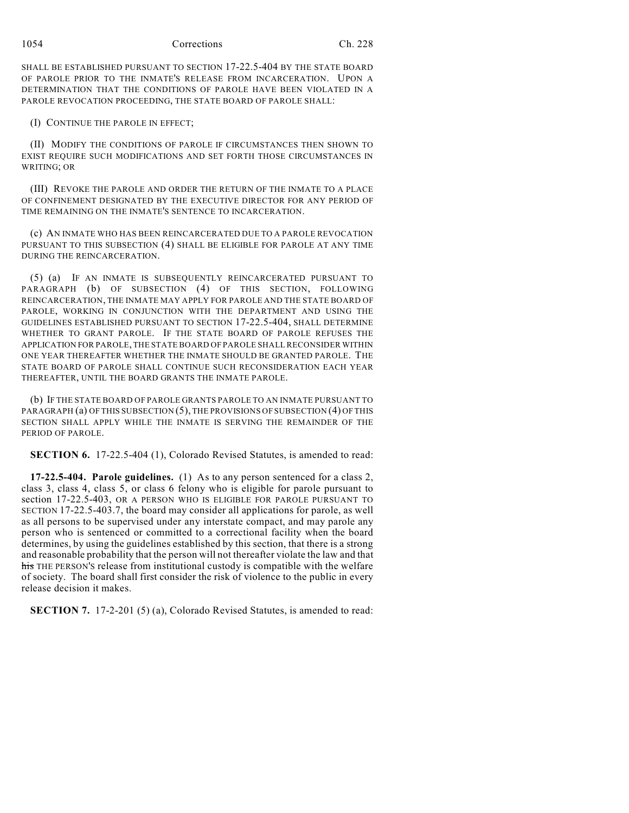SHALL BE ESTABLISHED PURSUANT TO SECTION 17-22.5-404 BY THE STATE BOARD OF PAROLE PRIOR TO THE INMATE'S RELEASE FROM INCARCERATION. UPON A DETERMINATION THAT THE CONDITIONS OF PAROLE HAVE BEEN VIOLATED IN A PAROLE REVOCATION PROCEEDING, THE STATE BOARD OF PAROLE SHALL:

(I) CONTINUE THE PAROLE IN EFFECT;

(II) MODIFY THE CONDITIONS OF PAROLE IF CIRCUMSTANCES THEN SHOWN TO EXIST REQUIRE SUCH MODIFICATIONS AND SET FORTH THOSE CIRCUMSTANCES IN WRITING; OR

(III) REVOKE THE PAROLE AND ORDER THE RETURN OF THE INMATE TO A PLACE OF CONFINEMENT DESIGNATED BY THE EXECUTIVE DIRECTOR FOR ANY PERIOD OF TIME REMAINING ON THE INMATE'S SENTENCE TO INCARCERATION.

(c) AN INMATE WHO HAS BEEN REINCARCERATED DUE TO A PAROLE REVOCATION PURSUANT TO THIS SUBSECTION (4) SHALL BE ELIGIBLE FOR PAROLE AT ANY TIME DURING THE REINCARCERATION.

(5) (a) IF AN INMATE IS SUBSEQUENTLY REINCARCERATED PURSUANT TO PARAGRAPH (b) OF SUBSECTION (4) OF THIS SECTION, FOLLOWING REINCARCERATION, THE INMATE MAY APPLY FOR PAROLE AND THE STATE BOARD OF PAROLE, WORKING IN CONJUNCTION WITH THE DEPARTMENT AND USING THE GUIDELINES ESTABLISHED PURSUANT TO SECTION 17-22.5-404, SHALL DETERMINE WHETHER TO GRANT PAROLE. IF THE STATE BOARD OF PAROLE REFUSES THE APPLICATION FOR PAROLE, THE STATE BOARD OF PAROLE SHALL RECONSIDER WITHIN ONE YEAR THEREAFTER WHETHER THE INMATE SHOULD BE GRANTED PAROLE. THE STATE BOARD OF PAROLE SHALL CONTINUE SUCH RECONSIDERATION EACH YEAR THEREAFTER, UNTIL THE BOARD GRANTS THE INMATE PAROLE.

(b) IF THE STATE BOARD OF PAROLE GRANTS PAROLE TO AN INMATE PURSUANT TO PARAGRAPH (a) OF THIS SUBSECTION (5), THE PROVISIONS OF SUBSECTION (4) OF THIS SECTION SHALL APPLY WHILE THE INMATE IS SERVING THE REMAINDER OF THE PERIOD OF PAROLE.

**SECTION 6.** 17-22.5-404 (1), Colorado Revised Statutes, is amended to read:

**17-22.5-404. Parole guidelines.** (1) As to any person sentenced for a class 2, class 3, class 4, class 5, or class 6 felony who is eligible for parole pursuant to section 17-22.5-403, OR A PERSON WHO IS ELIGIBLE FOR PAROLE PURSUANT TO SECTION 17-22.5-403.7, the board may consider all applications for parole, as well as all persons to be supervised under any interstate compact, and may parole any person who is sentenced or committed to a correctional facility when the board determines, by using the guidelines established by this section, that there is a strong and reasonable probability that the person will not thereafter violate the law and that his THE PERSON'S release from institutional custody is compatible with the welfare of society. The board shall first consider the risk of violence to the public in every release decision it makes.

**SECTION 7.** 17-2-201 (5) (a), Colorado Revised Statutes, is amended to read: